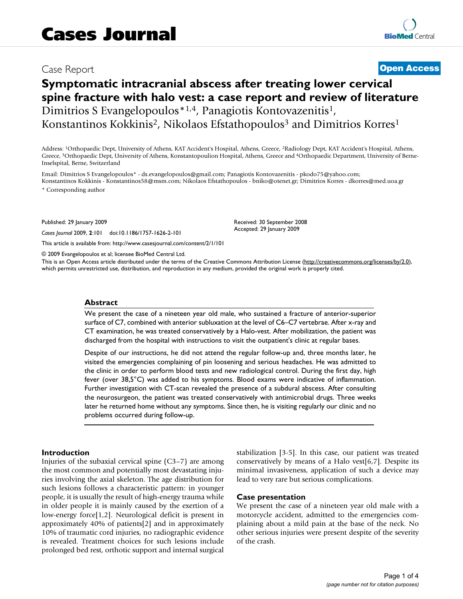# Case Report **[Open Access](http://www.biomedcentral.com/info/about/charter/)**

# **Symptomatic intracranial abscess after treating lower cervical spine fracture with halo vest: a case report and review of literature** Dimitrios S Evangelopoulos\*1,4, Panagiotis Kontovazenitis1, Konstantinos Kokkinis<sup>2</sup>, Nikolaos Efstathopoulos<sup>3</sup> and Dimitrios Korres<sup>1</sup>

Address: 1Orthopaedic Dept, University of Athens, KAT Accident's Hospital, Athens, Greece, 2Radiology Dept, KAT Accident's Hospital, Athens, Greece, 3Orthopaedic Dept, University of Athens, Konstantopoulion Hospital, Athens, Greece and 4Orthopaedic Department, University of Berne-Inselspital, Berne, Switzerland

Email: Dimitrios S Evangelopoulos\* - ds.evangelopoulos@gmail.com; Panagiotis Kontovazenitis - pkodo75@yahoo.com; Konstantinos Kokkinis - Konstantinos58@msm.com; Nikolaos Efstathopoulos - bniko@otenet.gr; Dimitrios Korres - dkorres@med.uoa.gr \* Corresponding author

Published: 29 January 2009

*Cases Journal* 2009, **2**:101 doi:10.1186/1757-1626-2-101

[This article is available from: http://www.casesjournal.com/content/2/1/101](http://www.casesjournal.com/content/2/1/101)

© 2009 Evangelopoulos et al; licensee BioMed Central Ltd.

This is an Open Access article distributed under the terms of the Creative Commons Attribution License [\(http://creativecommons.org/licenses/by/2.0\)](http://creativecommons.org/licenses/by/2.0), which permits unrestricted use, distribution, and reproduction in any medium, provided the original work is properly cited.

Received: 30 September 2008 Accepted: 29 January 2009

#### **Abstract**

We present the case of a nineteen year old male, who sustained a fracture of anterior-superior surface of C7, combined with anterior subluxation at the level of C6–C7 vertebrae. After x-ray and CT examination, he was treated conservatively by a Halo-vest. After mobilization, the patient was discharged from the hospital with instructions to visit the outpatient's clinic at regular bases.

Despite of our instructions, he did not attend the regular follow-up and, three months later, he visited the emergencies complaining of pin loosening and serious headaches. He was admitted to the clinic in order to perform blood tests and new radiological control. During the first day, high fever (over 38,5°C) was added to his symptoms. Blood exams were indicative of inflammation. Further investigation with CT-scan revealed the presence of a subdural abscess. After consulting the neurosurgeon, the patient was treated conservatively with antimicrobial drugs. Three weeks later he returned home without any symptoms. Since then, he is visiting regularly our clinic and no problems occurred during follow-up.

#### **Introduction**

Injuries of the subaxial cervical spine (C3–7) are among the most common and potentially most devastating injuries involving the axial skeleton. The age distribution for such lesions follows a characteristic pattern: in younger people, it is usually the result of high-energy trauma while in older people it is mainly caused by the exertion of a low-energy force[1,2]. Neurological deficit is present in approximately 40% of patients[2] and in approximately 10% of traumatic cord injuries, no radiographic evidence is revealed. Treatment choices for such lesions include prolonged bed rest, orthotic support and internal surgical

stabilization [3-5]. In this case, our patient was treated conservatively by means of a Halo vest[6,7]. Despite its minimal invasiveness, application of such a device may lead to very rare but serious complications.

#### **Case presentation**

We present the case of a nineteen year old male with a motorcycle accident, admitted to the emergencies complaining about a mild pain at the base of the neck. No other serious injuries were present despite of the severity of the crash.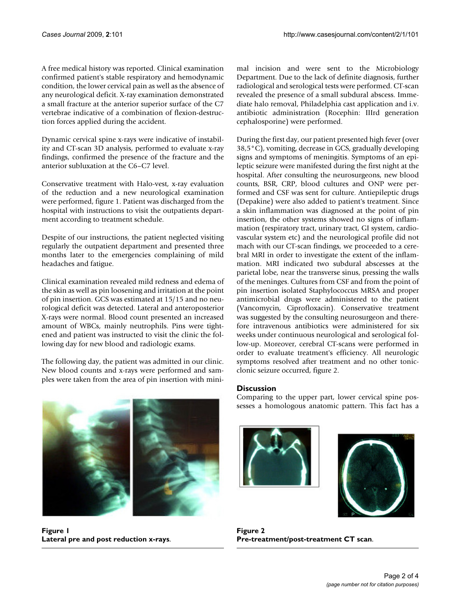A free medical history was reported. Clinical examination confirmed patient's stable respiratory and hemodynamic condition, the lower cervical pain as well as the absence of any neurological deficit. X-ray examination demonstrated a small fracture at the anterior superior surface of the C7 vertebrae indicative of a combination of flexion-destruction forces applied during the accident.

Dynamic cervical spine x-rays were indicative of instability and CT-scan 3D analysis, performed to evaluate x-ray findings, confirmed the presence of the fracture and the anterior subluxation at the C6–C7 level.

Conservative treatment with Halo-vest, x-ray evaluation of the reduction and a new neurological examination were performed, figure 1. Patient was discharged from the hospital with instructions to visit the outpatients department according to treatment schedule.

Despite of our instructions, the patient neglected visiting regularly the outpatient department and presented three months later to the emergencies complaining of mild headaches and fatigue.

Clinical examination revealed mild redness and edema of the skin as well as pin loosening and irritation at the point of pin insertion. GCS was estimated at 15/15 and no neurological deficit was detected. Lateral and anteroposterior X-rays were normal. Blood count presented an increased amount of WBCs, mainly neutrophils. Pins were tightened and patient was instructed to visit the clinic the following day for new blood and radiologic exams.

The following day, the patient was admitted in our clinic. New blood counts and x-rays were performed and samples were taken from the area of pin insertion with minimal incision and were sent to the Microbiology Department. Due to the lack of definite diagnosis, further radiological and serological tests were performed. CT-scan revealed the presence of a small subdural abscess. Immediate halo removal, Philadelphia cast application and i.v. antibiotic administration (Rocephin: IIIrd generation cephalosporine) were performed.

During the first day, our patient presented high fever (over 38,5°C), vomiting, decrease in GCS, gradually developing signs and symptoms of meningitis. Symptoms of an epileptic seizure were manifested during the first night at the hospital. After consulting the neurosurgeons, new blood counts, BSR, CRP, blood cultures and ONP were performed and CSF was sent for culture. Antiepileptic drugs (Depakine) were also added to patient's treatment. Since a skin inflammation was diagnosed at the point of pin insertion, the other systems showed no signs of inflammation (respiratory tract, urinary tract, GI system, cardiovascular system etc) and the neurological profile did not mach with our CT-scan findings, we proceeded to a cerebral MRI in order to investigate the extent of the inflammation. MRI indicated two subdural abscesses at the parietal lobe, near the transverse sinus, pressing the walls of the meninges. Cultures from CSF and from the point of pin insertion isolated Staphylococcus MRSA and proper antimicrobial drugs were administered to the patient (Vancomycin, Ciprofloxacin). Conservative treatment was suggested by the consulting neurosurgeon and therefore intravenous antibiotics were administered for six weeks under continuous neurological and serological follow-up. Moreover, cerebral CT-scans were performed in order to evaluate treatment's efficiency. All neurologic symptoms resolved after treatment and no other tonicclonic seizure occurred, figure 2.

# **Discussion**

Comparing to the upper part, lower cervical spine possesses a homologous anatomic pattern. This fact has a



**Figure 1 Lateral pre and post reduction x-rays**.





**Figure 2 Pre-treatment/post-treatment CT scan**.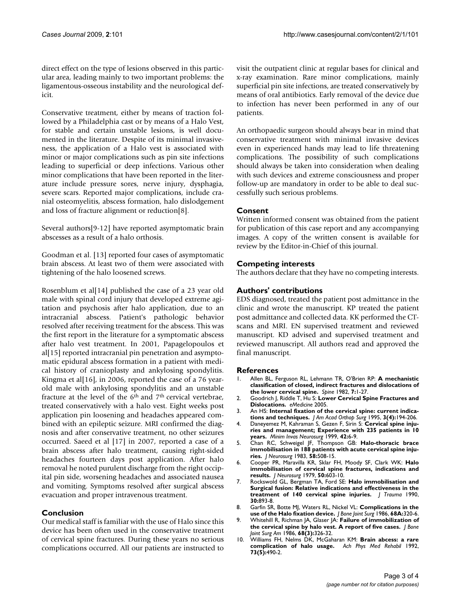direct effect on the type of lesions observed in this particular area, leading mainly to two important problems: the ligamentous-osseous instability and the neurological deficit.

Conservative treatment, either by means of traction followed by a Philadelphia cast or by means of a Halo Vest, for stable and certain unstable lesions, is well documented in the literature. Despite of its minimal invasiveness, the application of a Halo vest is associated with minor or major complications such as pin site infections leading to superficial or deep infections. Various other minor complications that have been reported in the literature include pressure sores, nerve injury, dysphagia, severe scars. Reported major complications, include cranial osteomyelitis, abscess formation, halo dislodgement and loss of fracture alignment or reduction[8].

Several authors[9-12] have reported asymptomatic brain abscesses as a result of a halo orthosis.

Goodman et al. [13] reported four cases of asymptomatic brain abscess. At least two of them were associated with tightening of the halo loosened screws.

Rosenblum et al[14] published the case of a 23 year old male with spinal cord injury that developed extreme agitation and psychosis after halo application, due to an intracranial abscess. Patient's pathologic behavior resolved after receiving treatment for the abscess. This was the first report in the literature for a symptomatic abscess after halo vest treatment. In 2001, Papagelopoulos et al[15] reported intracranial pin penetration and asymptomatic epidural abscess formation in a patient with medical history of cranioplasty and ankylosing spondylitis. Kingma et al[16], in 2006, reported the case of a 76 yearold male with ankylosing spondylitis and an unstable fracture at the level of the  $6<sup>th</sup>$  and  $7<sup>th</sup>$  cervical vertebrae, treated conservatively with a halo vest. Eight weeks post application pin loosening and headaches appeared combined with an epileptic seizure. MRI confirmed the diagnosis and after conservative treatment, no other seizures occurred. Saeed et al [17] in 2007, reported a case of a brain abscess after halo treatment, causing right-sided headaches fourteen days post application. After halo removal he noted purulent discharge from the right occipital pin side, worsening headaches and associated nausea and vomiting. Symptoms resolved after surgical abscess evacuation and proper intravenous treatment.

#### **Conclusion**

Our medical staff is familiar with the use of Halo since this device has been often used in the conservative treatment of cervical spine fractures. During these years no serious complications occurred. All our patients are instructed to visit the outpatient clinic at regular bases for clinical and x-ray examination. Rare minor complications, mainly superficial pin site infections, are treated conservatively by means of oral antibiotics. Early removal of the device due to infection has never been performed in any of our patients.

An orthopaedic surgeon should always bear in mind that conservative treatment with minimal invasive devices even in experienced hands may lead to life threatening complications. The possibility of such complications should always be taken into consideration when dealing with such devices and extreme consciousness and proper follow-up are mandatory in order to be able to deal successfully such serious problems.

## **Consent**

Written informed consent was obtained from the patient for publication of this case report and any accompanying images. A copy of the written consent is available for review by the Editor-in-Chief of this journal.

## **Competing interests**

The authors declare that they have no competing interests.

## **Authors' contributions**

EDS diagnosed, treated the patient post admittance in the clinic and wrote the manuscript. KP treated the patient post admittance and collected data. KK performed the CTscans and MRI. EN supervised treatment and reviewed manuscript. KD advised and supervised treatment and reviewed manuscript. All authors read and approved the final manuscript.

#### **References**

- 1. Allen BL, Ferguson RL, Lehmann TR, O'Brien RP: **[A mechanistic](http://www.ncbi.nlm.nih.gov/entrez/query.fcgi?cmd=Retrieve&db=PubMed&dopt=Abstract&list_uids=7071658) [classification of closed, indirect fractures and dislocations of](http://www.ncbi.nlm.nih.gov/entrez/query.fcgi?cmd=Retrieve&db=PubMed&dopt=Abstract&list_uids=7071658) [the lower cervical spine.](http://www.ncbi.nlm.nih.gov/entrez/query.fcgi?cmd=Retrieve&db=PubMed&dopt=Abstract&list_uids=7071658)** *Spine* 1982, **7:**1-27.
- 2. Goodrich J, Riddle T, Hu S: **Lower Cervical Spine Fractures and Dislocations.** *eMedicine* 2005.
- 3. An HS: **[Internal fixation of the cervical spine: current indica](http://www.ncbi.nlm.nih.gov/entrez/query.fcgi?cmd=Retrieve&db=PubMed&dopt=Abstract&list_uids=10795026)[tions and techniques.](http://www.ncbi.nlm.nih.gov/entrez/query.fcgi?cmd=Retrieve&db=PubMed&dopt=Abstract&list_uids=10795026)** *J Am Acad Orthop Surg* 1995, **3(4):**194-206.
- 4. Daneyemez M, Kahraman S, Gezen F, Sirin S: **Cervical spine injuries and management; Experience with 235 patients in 10 years.** *Minim Invas Neurosurg* 1999, **42:**6-9.
- 5. Chan RC, Schweigel JF, Thompson GB: **[Halo-thoracic brace](http://www.ncbi.nlm.nih.gov/entrez/query.fcgi?cmd=Retrieve&db=PubMed&dopt=Abstract&list_uids=6827347) [immobilisation in 188 patients with acute cervical spine inju](http://www.ncbi.nlm.nih.gov/entrez/query.fcgi?cmd=Retrieve&db=PubMed&dopt=Abstract&list_uids=6827347)[ries.](http://www.ncbi.nlm.nih.gov/entrez/query.fcgi?cmd=Retrieve&db=PubMed&dopt=Abstract&list_uids=6827347)** *J Neurosurg* 1983, **58:**508-15.
- 6. Cooper PR, Maravilla KR, Sklar FH, Moody SF, Clark WK: **[Halo](http://www.ncbi.nlm.nih.gov/entrez/query.fcgi?cmd=Retrieve&db=PubMed&dopt=Abstract&list_uids=430154) [immobilisation of cervical spine fractures, indications and](http://www.ncbi.nlm.nih.gov/entrez/query.fcgi?cmd=Retrieve&db=PubMed&dopt=Abstract&list_uids=430154) [results.](http://www.ncbi.nlm.nih.gov/entrez/query.fcgi?cmd=Retrieve&db=PubMed&dopt=Abstract&list_uids=430154)** *J Neurosurg* 1979, **50:**603-10.
- 7. Rockswold GL, Bergman TA, Ford SE: **[Halo immobilisation and](http://www.ncbi.nlm.nih.gov/entrez/query.fcgi?cmd=Retrieve&db=PubMed&dopt=Abstract&list_uids=2381008) [Surgical fusion: Relative indications and effectiveness in the](http://www.ncbi.nlm.nih.gov/entrez/query.fcgi?cmd=Retrieve&db=PubMed&dopt=Abstract&list_uids=2381008) [treatment of 140 cervical spine injuries.](http://www.ncbi.nlm.nih.gov/entrez/query.fcgi?cmd=Retrieve&db=PubMed&dopt=Abstract&list_uids=2381008)** *J Trauma* 1990, **30:**893-8.
- 8. Garfin SR, Botte MJ, Waters RL, Nickel VL: **[Complications in the](http://www.ncbi.nlm.nih.gov/entrez/query.fcgi?cmd=Retrieve&db=PubMed&dopt=Abstract&list_uids=3949826 ) [use of the Halo fixation device.](http://www.ncbi.nlm.nih.gov/entrez/query.fcgi?cmd=Retrieve&db=PubMed&dopt=Abstract&list_uids=3949826 )** *J Bone Joint Surg* 1986, **68A:**320-6.
- 9. Whitehill R, Richman JA, Glaser JA: **[Failure of immobilization of](http://www.ncbi.nlm.nih.gov/entrez/query.fcgi?cmd=Retrieve&db=PubMed&dopt=Abstract&list_uids=3949827) [the cervical spine by halo vest. A report of five cases.](http://www.ncbi.nlm.nih.gov/entrez/query.fcgi?cmd=Retrieve&db=PubMed&dopt=Abstract&list_uids=3949827)** *J Bone Joint Surg Am* 1986, **68(3):**326-32.
- 10. Williams FH, Nelms DK, McGaharan KM: **[Brain abcess: a rare](http://www.ncbi.nlm.nih.gov/entrez/query.fcgi?cmd=Retrieve&db=PubMed&dopt=Abstract&list_uids=1580780 ) [complication of halo usage.](http://www.ncbi.nlm.nih.gov/entrez/query.fcgi?cmd=Retrieve&db=PubMed&dopt=Abstract&list_uids=1580780 )** *Ach Phys Med Rehabil* 1992, **73(5):**490-2.